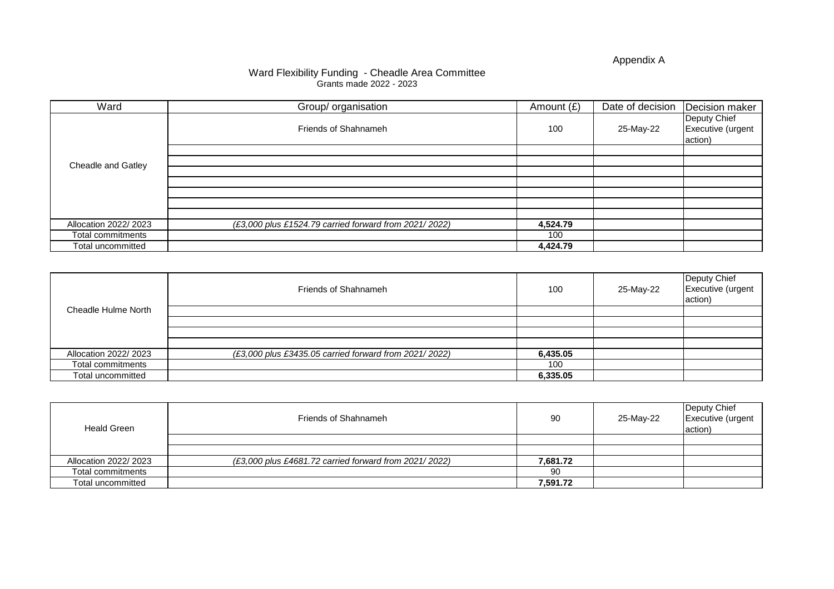Appendix A

| Ward                      | Group/ organisation                                   | Amount $(E)$ | Date of decision | Decision maker                               |
|---------------------------|-------------------------------------------------------|--------------|------------------|----------------------------------------------|
|                           | Friends of Shahnameh                                  | 100          | 25-May-22        | Deputy Chief<br>Executive (urgent<br>action) |
|                           |                                                       |              |                  |                                              |
| <b>Cheadle and Gatley</b> |                                                       |              |                  |                                              |
|                           |                                                       |              |                  |                                              |
|                           |                                                       |              |                  |                                              |
|                           |                                                       |              |                  |                                              |
|                           |                                                       |              |                  |                                              |
|                           |                                                       |              |                  |                                              |
| Allocation 2022/ 2023     | (£3,000 plus £1524.79 carried forward from 2021/2022) | 4,524.79     |                  |                                              |
| Total commitments         |                                                       | 100          |                  |                                              |
| Total uncommitted         |                                                       | 4,424.79     |                  |                                              |

| <b>Cheadle Hulme North</b> | <b>Friends of Shahnameh</b>                           | 100      | 25-May-22 | Deputy Chief<br>Executive (urgent<br>action) |
|----------------------------|-------------------------------------------------------|----------|-----------|----------------------------------------------|
|                            |                                                       |          |           |                                              |
|                            |                                                       |          |           |                                              |
|                            |                                                       |          |           |                                              |
|                            |                                                       |          |           |                                              |
| Allocation 2022/ 2023      | (£3,000 plus £3435.05 carried forward from 2021/2022) | 6,435.05 |           |                                              |
| Total commitments          |                                                       | 100      |           |                                              |
| <b>Total uncommitted</b>   |                                                       | 6,335.05 |           |                                              |

| <b>Heald Green</b>       | <b>Friends of Shahnameh</b>                           | 90       | 25-May-22 | Deputy Chief<br>Executive (urgent<br>action) |
|--------------------------|-------------------------------------------------------|----------|-----------|----------------------------------------------|
|                          |                                                       |          |           |                                              |
|                          |                                                       |          |           |                                              |
| Allocation 2022/ 2023    | (£3,000 plus £4681.72 carried forward from 2021/2022) | 7,681.72 |           |                                              |
| <b>Total commitments</b> |                                                       | 90       |           |                                              |
| Total uncommitted        |                                                       | 7,591.72 |           |                                              |

## Ward Flexibility Funding - Cheadle Area Committee Grants made 2022 - 2023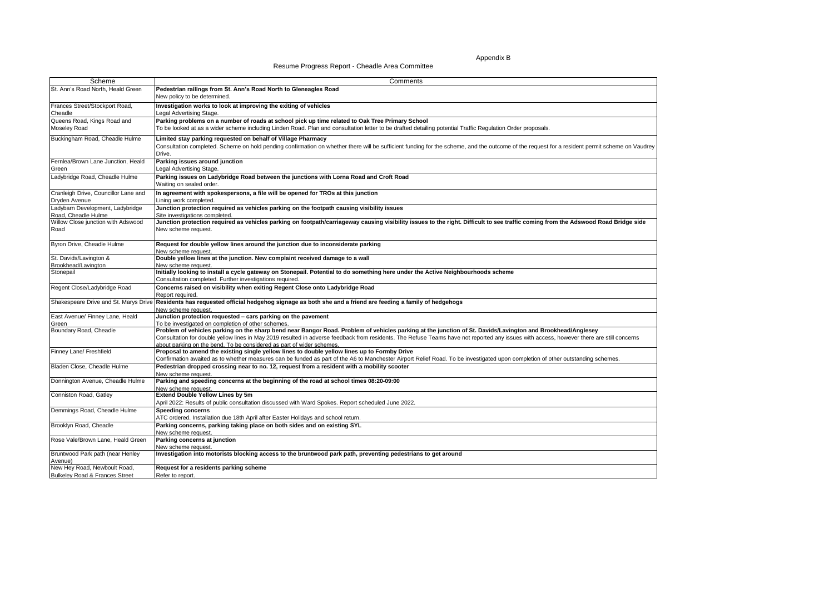Resume Progress Report - Cheadle Area Committee

Appendix B

| potential Traffic Regulation Order proposals.                                                                                             |
|-------------------------------------------------------------------------------------------------------------------------------------------|
| he scheme, and the outcome of the request for a resident permit scheme on Vaudrey                                                         |
|                                                                                                                                           |
|                                                                                                                                           |
|                                                                                                                                           |
|                                                                                                                                           |
| the right. Difficult to see traffic coming from the Adswood Road Bridge side                                                              |
|                                                                                                                                           |
|                                                                                                                                           |
| ve Neighbourhoods scheme                                                                                                                  |
|                                                                                                                                           |
| edgehogs                                                                                                                                  |
|                                                                                                                                           |
| junction of St. Davids/Lavington and Brookhead/Anglesey<br>ams have not reported any issues with access, however there are still concerns |
| oad. To be investigated upon completion of other outstanding schemes.                                                                     |
|                                                                                                                                           |
|                                                                                                                                           |
|                                                                                                                                           |
|                                                                                                                                           |
|                                                                                                                                           |
|                                                                                                                                           |
| et around                                                                                                                                 |
|                                                                                                                                           |

| <b>Scheme</b>                                                             | Comments                                                                                                                                                                                                                                                                                                                                                                                                                         |  |  |  |
|---------------------------------------------------------------------------|----------------------------------------------------------------------------------------------------------------------------------------------------------------------------------------------------------------------------------------------------------------------------------------------------------------------------------------------------------------------------------------------------------------------------------|--|--|--|
| St. Ann's Road North, Heald Green                                         | Pedestrian railings from St. Ann's Road North to Gleneagles Road<br>New policy to be determined.                                                                                                                                                                                                                                                                                                                                 |  |  |  |
| Frances Street/Stockport Road,<br>Cheadle                                 | Investigation works to look at improving the exiting of vehicles<br>Legal Advertising Stage.                                                                                                                                                                                                                                                                                                                                     |  |  |  |
| Queens Road, Kings Road and                                               | Parking problems on a number of roads at school pick up time related to Oak Tree Primary School                                                                                                                                                                                                                                                                                                                                  |  |  |  |
| <b>Moseley Road</b>                                                       | To be looked at as a wider scheme including Linden Road. Plan and consultation letter to be drafted detailing potential Traffic Regulation Order proposals.                                                                                                                                                                                                                                                                      |  |  |  |
| Buckingham Road, Cheadle Hulme                                            | Limited stay parking requested on behalf of Village Pharmacy<br>Consultation completed. Scheme on hold pending confirmation on whether there will be sufficient funding for the scheme, and the outcome of the request for a resident permit scheme on Vaudrey<br>Drive.                                                                                                                                                         |  |  |  |
| Fernlea/Brown Lane Junction, Heald<br><b>S</b> reen                       | Parking issues around junction<br>Legal Advertising Stage.                                                                                                                                                                                                                                                                                                                                                                       |  |  |  |
| Ladybridge Road, Cheadle Hulme                                            | Parking issues on Ladybridge Road between the junctions with Lorna Road and Croft Road<br>Waiting on sealed order.                                                                                                                                                                                                                                                                                                               |  |  |  |
| Cranleigh Drive, Councillor Lane and                                      | In agreement with spokespersons, a file will be opened for TROs at this junction                                                                                                                                                                                                                                                                                                                                                 |  |  |  |
| Dryden Avenue                                                             | Lining work completed.                                                                                                                                                                                                                                                                                                                                                                                                           |  |  |  |
| Ladybarn Development, Ladybridge                                          | Junction protection required as vehicles parking on the footpath causing visibility issues                                                                                                                                                                                                                                                                                                                                       |  |  |  |
| Road, Cheadle Hulme                                                       | Site investigations completed.                                                                                                                                                                                                                                                                                                                                                                                                   |  |  |  |
| Willow Close junction with Adswood<br>Road                                | Junction protection required as vehicles parking on footpath/carriageway causing visibility issues to the right. Difficult to see traffic coming from the Adswood Road Bridge side<br>New scheme request.                                                                                                                                                                                                                        |  |  |  |
| Byron Drive, Cheadle Hulme                                                | Request for double yellow lines around the junction due to inconsiderate parking<br>New scheme request.                                                                                                                                                                                                                                                                                                                          |  |  |  |
| St. Davids/Lavington &                                                    | Double yellow lines at the junction. New complaint received damage to a wall                                                                                                                                                                                                                                                                                                                                                     |  |  |  |
| Brookhead/Lavington                                                       | New scheme request.                                                                                                                                                                                                                                                                                                                                                                                                              |  |  |  |
| Stonepail                                                                 | Initially looking to install a cycle gateway on Stonepail. Potential to do something here under the Active Neighbourhoods scheme<br>Consultation completed. Further investigations required.                                                                                                                                                                                                                                     |  |  |  |
| Regent Close/Ladybridge Road                                              | Concerns raised on visibility when exiting Regent Close onto Ladybridge Road<br>Report required.                                                                                                                                                                                                                                                                                                                                 |  |  |  |
|                                                                           | Shakespeare Drive and St. Marys Drive Residents has requested official hedgehog signage as both she and a friend are feeding a family of hedgehogs<br>New scheme request.                                                                                                                                                                                                                                                        |  |  |  |
| East Avenue/ Finney Lane, Heald                                           | Junction protection requested – cars parking on the pavement                                                                                                                                                                                                                                                                                                                                                                     |  |  |  |
| Green                                                                     | To be investigated on completion of other schemes.                                                                                                                                                                                                                                                                                                                                                                               |  |  |  |
| Boundary Road, Cheadle                                                    | Problem of vehicles parking on the sharp bend near Bangor Road. Problem of vehicles parking at the junction of St. Davids/Lavington and Brookhead/Anglesey<br>Consultation for double yellow lines in May 2019 resulted in adverse feedback from residents. The Refuse Teams have not reported any issues with access, however there are still concerns<br>about parking on the bend. To be considered as part of wider schemes. |  |  |  |
| <b>Finney Lane/ Freshfield</b>                                            | Proposal to amend the existing single yellow lines to double yellow lines up to Formby Drive<br>Confirmation awaited as to whether measures can be funded as part of the A6 to Manchester Airport Relief Road. To be investigated upon completion of other outstanding schemes.                                                                                                                                                  |  |  |  |
| Bladen Close, Cheadle Hulme                                               | Pedestrian dropped crossing near to no. 12, request from a resident with a mobility scooter<br>New scheme request.                                                                                                                                                                                                                                                                                                               |  |  |  |
| Donnington Avenue, Cheadle Hulme                                          | Parking and speeding concerns at the beginning of the road at school times 08:20-09:00<br>New scheme request.                                                                                                                                                                                                                                                                                                                    |  |  |  |
| Conniston Road, Gatley                                                    | <b>Extend Double Yellow Lines by 5m</b><br>April 2022: Results of public consultation discussed with Ward Spokes. Report scheduled June 2022.                                                                                                                                                                                                                                                                                    |  |  |  |
| Demmings Road, Cheadle Hulme                                              | <b>Speeding concerns</b><br>ATC ordered. Installation due 18th April after Easter Holidays and school return.                                                                                                                                                                                                                                                                                                                    |  |  |  |
| Brooklyn Road, Cheadle                                                    | Parking concerns, parking taking place on both sides and on existing SYL<br>New scheme request.                                                                                                                                                                                                                                                                                                                                  |  |  |  |
| Rose Vale/Brown Lane, Heald Green                                         | <b>Parking concerns at junction</b><br>New scheme request.                                                                                                                                                                                                                                                                                                                                                                       |  |  |  |
| Bruntwood Park path (near Henley<br>Avenue)                               | Investigation into motorists blocking access to the bruntwood park path, preventing pedestrians to get around                                                                                                                                                                                                                                                                                                                    |  |  |  |
| New Hey Road, Newboult Road,<br><b>Bulkeley Road &amp; Frances Street</b> | Request for a residents parking scheme<br>Refer to report.                                                                                                                                                                                                                                                                                                                                                                       |  |  |  |
|                                                                           |                                                                                                                                                                                                                                                                                                                                                                                                                                  |  |  |  |